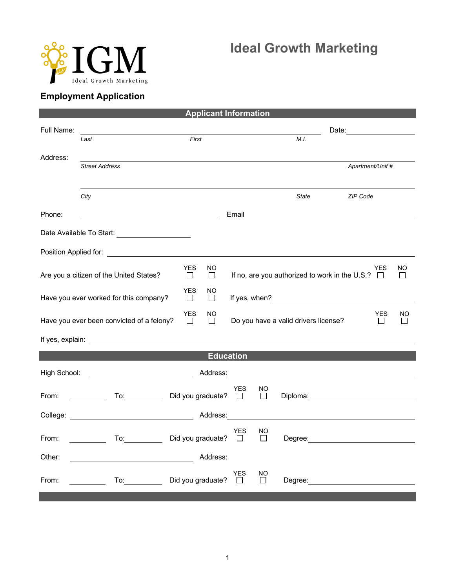

## **Employment Application**

| Full Name:<br>First<br>M.L.<br>Last<br>Address:<br><b>Street Address</b><br>Apartment/Unit #<br>City<br>ZIP Code<br>State<br>Phone:<br>Email<br>Date Available To Start: ______________________<br>Position Applied for: example and the set of the set of the set of the set of the set of the set of the set of the set of the set of the set of the set of the set of the set of the set of the set of the set of the set of t<br><b>YES</b><br>NO.<br><b>YES</b><br><b>NO</b><br>If no, are you authorized to work in the U.S.? $\Box$<br>Are you a citizen of the United States?<br>$\Box$<br>$\Box$<br>$\perp$<br><b>YES</b><br>NO<br>Have you ever worked for this company?<br>If yes, when? The same state of the state of the state of the state of the state of the state of the state of the state of the state of the state of the state of the state of the state of the state of the state of the stat<br>$\Box$<br>$\Box$<br><b>YES</b><br><b>YES</b><br>ΝO<br>Have you ever been convicted of a felony?<br>Do you have a valid drivers license?<br>П<br>П<br>$\perp$<br><b>Education</b><br><u> 1980 - Johann Barbara, martin a</u><br>High School:<br>Address: Andreas Address and Address and American Address and American American Address and America and America<br>YES<br>ΝO<br>Did you graduate? $\square$<br>From:<br>$\overline{a}$ To:<br>Diploma: <u>____________________</u><br>$\Box$<br><b>YES</b><br>NO | <b>Applicant Information</b> |  |  |  |     |  |  |  |  |  |  |
|-----------------------------------------------------------------------------------------------------------------------------------------------------------------------------------------------------------------------------------------------------------------------------------------------------------------------------------------------------------------------------------------------------------------------------------------------------------------------------------------------------------------------------------------------------------------------------------------------------------------------------------------------------------------------------------------------------------------------------------------------------------------------------------------------------------------------------------------------------------------------------------------------------------------------------------------------------------------------------------------------------------------------------------------------------------------------------------------------------------------------------------------------------------------------------------------------------------------------------------------------------------------------------------------------------------------------------------------------------------------------------------------------------------------------------------------|------------------------------|--|--|--|-----|--|--|--|--|--|--|
|                                                                                                                                                                                                                                                                                                                                                                                                                                                                                                                                                                                                                                                                                                                                                                                                                                                                                                                                                                                                                                                                                                                                                                                                                                                                                                                                                                                                                                         |                              |  |  |  |     |  |  |  |  |  |  |
|                                                                                                                                                                                                                                                                                                                                                                                                                                                                                                                                                                                                                                                                                                                                                                                                                                                                                                                                                                                                                                                                                                                                                                                                                                                                                                                                                                                                                                         |                              |  |  |  |     |  |  |  |  |  |  |
|                                                                                                                                                                                                                                                                                                                                                                                                                                                                                                                                                                                                                                                                                                                                                                                                                                                                                                                                                                                                                                                                                                                                                                                                                                                                                                                                                                                                                                         |                              |  |  |  |     |  |  |  |  |  |  |
|                                                                                                                                                                                                                                                                                                                                                                                                                                                                                                                                                                                                                                                                                                                                                                                                                                                                                                                                                                                                                                                                                                                                                                                                                                                                                                                                                                                                                                         |                              |  |  |  |     |  |  |  |  |  |  |
|                                                                                                                                                                                                                                                                                                                                                                                                                                                                                                                                                                                                                                                                                                                                                                                                                                                                                                                                                                                                                                                                                                                                                                                                                                                                                                                                                                                                                                         |                              |  |  |  |     |  |  |  |  |  |  |
|                                                                                                                                                                                                                                                                                                                                                                                                                                                                                                                                                                                                                                                                                                                                                                                                                                                                                                                                                                                                                                                                                                                                                                                                                                                                                                                                                                                                                                         |                              |  |  |  |     |  |  |  |  |  |  |
|                                                                                                                                                                                                                                                                                                                                                                                                                                                                                                                                                                                                                                                                                                                                                                                                                                                                                                                                                                                                                                                                                                                                                                                                                                                                                                                                                                                                                                         |                              |  |  |  |     |  |  |  |  |  |  |
|                                                                                                                                                                                                                                                                                                                                                                                                                                                                                                                                                                                                                                                                                                                                                                                                                                                                                                                                                                                                                                                                                                                                                                                                                                                                                                                                                                                                                                         |                              |  |  |  |     |  |  |  |  |  |  |
|                                                                                                                                                                                                                                                                                                                                                                                                                                                                                                                                                                                                                                                                                                                                                                                                                                                                                                                                                                                                                                                                                                                                                                                                                                                                                                                                                                                                                                         |                              |  |  |  |     |  |  |  |  |  |  |
|                                                                                                                                                                                                                                                                                                                                                                                                                                                                                                                                                                                                                                                                                                                                                                                                                                                                                                                                                                                                                                                                                                                                                                                                                                                                                                                                                                                                                                         |                              |  |  |  | NO. |  |  |  |  |  |  |
|                                                                                                                                                                                                                                                                                                                                                                                                                                                                                                                                                                                                                                                                                                                                                                                                                                                                                                                                                                                                                                                                                                                                                                                                                                                                                                                                                                                                                                         |                              |  |  |  |     |  |  |  |  |  |  |
|                                                                                                                                                                                                                                                                                                                                                                                                                                                                                                                                                                                                                                                                                                                                                                                                                                                                                                                                                                                                                                                                                                                                                                                                                                                                                                                                                                                                                                         |                              |  |  |  |     |  |  |  |  |  |  |
|                                                                                                                                                                                                                                                                                                                                                                                                                                                                                                                                                                                                                                                                                                                                                                                                                                                                                                                                                                                                                                                                                                                                                                                                                                                                                                                                                                                                                                         |                              |  |  |  |     |  |  |  |  |  |  |
|                                                                                                                                                                                                                                                                                                                                                                                                                                                                                                                                                                                                                                                                                                                                                                                                                                                                                                                                                                                                                                                                                                                                                                                                                                                                                                                                                                                                                                         |                              |  |  |  |     |  |  |  |  |  |  |
|                                                                                                                                                                                                                                                                                                                                                                                                                                                                                                                                                                                                                                                                                                                                                                                                                                                                                                                                                                                                                                                                                                                                                                                                                                                                                                                                                                                                                                         |                              |  |  |  |     |  |  |  |  |  |  |
| To: Did you graduate? □<br>From:<br>$\Box$<br>Degree: the contract of the contract of the contract of the contract of the contract of the contract of the contract of the contract of the contract of the contract of the contract of the contract of the contract of the co                                                                                                                                                                                                                                                                                                                                                                                                                                                                                                                                                                                                                                                                                                                                                                                                                                                                                                                                                                                                                                                                                                                                                            |                              |  |  |  |     |  |  |  |  |  |  |
| Address:<br>Other:                                                                                                                                                                                                                                                                                                                                                                                                                                                                                                                                                                                                                                                                                                                                                                                                                                                                                                                                                                                                                                                                                                                                                                                                                                                                                                                                                                                                                      |                              |  |  |  |     |  |  |  |  |  |  |
| YES<br>ΝO<br>Did you graduate?<br>From:<br>To: the contract of the contract of the contract of the contract of the contract of the contract of the contract of the contract of the contract of the contract of the contract of the contract of the contract of the contra<br>$\Box$<br>П<br>Degree: National Accounts and Accounts and Accounts and Accounts are also been accounted as a series of the series of the series of the series of the series of the series of the series of the series of the series of the se                                                                                                                                                                                                                                                                                                                                                                                                                                                                                                                                                                                                                                                                                                                                                                                                                                                                                                              |                              |  |  |  |     |  |  |  |  |  |  |